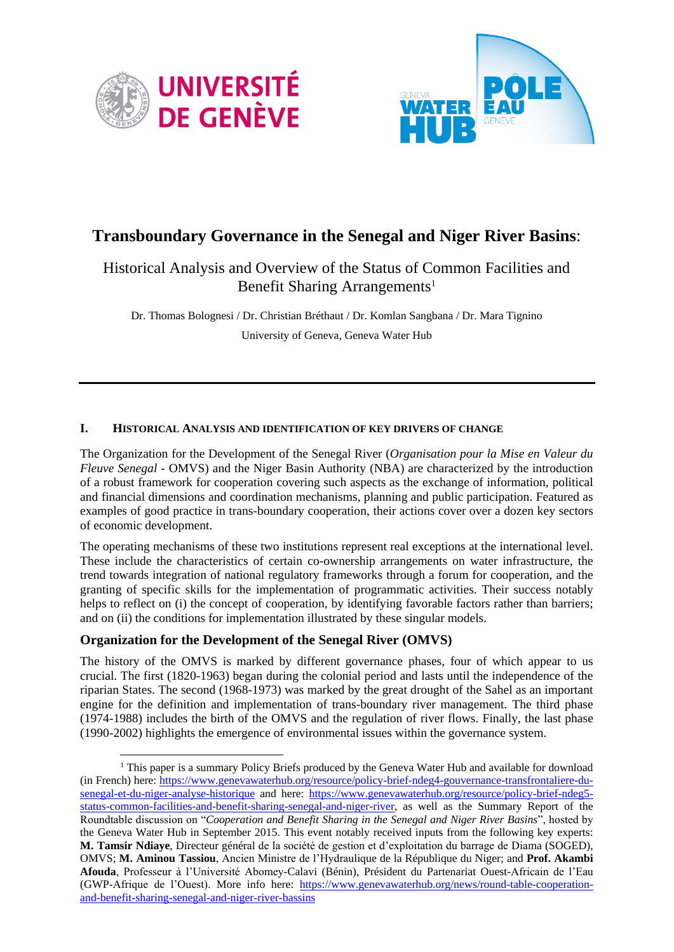



# **Transboundary Governance in the Senegal and Niger River Basins**:

## Historical Analysis and Overview of the Status of Common Facilities and Benefit Sharing Arrangements<sup>1</sup>

Dr. Thomas Bolognesi / Dr. Christian Bréthaut / Dr. Komlan Sangbana / Dr. Mara Tignino University of Geneva, Geneva Water Hub

#### **I. HISTORICAL ANALYSIS AND IDENTIFICATION OF KEY DRIVERS OF CHANGE**

The Organization for the Development of the Senegal River (*Organisation pour la Mise en Valeur du Fleuve Senegal* - OMVS) and the Niger Basin Authority (NBA) are characterized by the introduction of a robust framework for cooperation covering such aspects as the exchange of information, political and financial dimensions and coordination mechanisms, planning and public participation. Featured as examples of good practice in trans-boundary cooperation, their actions cover over a dozen key sectors of economic development.

The operating mechanisms of these two institutions represent real exceptions at the international level. These include the characteristics of certain co-ownership arrangements on water infrastructure, the trend towards integration of national regulatory frameworks through a forum for cooperation, and the granting of specific skills for the implementation of programmatic activities. Their success notably helps to reflect on (i) the concept of cooperation, by identifying favorable factors rather than barriers; and on (ii) the conditions for implementation illustrated by these singular models.

#### **Organization for the Development of the Senegal River (OMVS)**

The history of the OMVS is marked by different governance phases, four of which appear to us crucial. The first (1820-1963) began during the colonial period and lasts until the independence of the riparian States. The second (1968-1973) was marked by the great drought of the Sahel as an important engine for the definition and implementation of trans-boundary river management. The third phase (1974-1988) includes the birth of the OMVS and the regulation of river flows. Finally, the last phase (1990-2002) highlights the emergence of environmental issues within the governance system.

 $\overline{a}$  $1$  This paper is a summary Policy Briefs produced by the Geneva Water Hub and available for download (in French) here: [https://www.genevawaterhub.org/resource/policy-brief-ndeg4-gouvernance-transfrontaliere-du](https://www.genevawaterhub.org/resource/policy-brief-ndeg4-gouvernance-transfrontaliere-du-senegal-et-du-niger-analyse-historique)[senegal-et-du-niger-analyse-historique](https://www.genevawaterhub.org/resource/policy-brief-ndeg4-gouvernance-transfrontaliere-du-senegal-et-du-niger-analyse-historique) and here: [https://www.genevawaterhub.org/resource/policy-brief-ndeg5](https://www.genevawaterhub.org/resource/policy-brief-ndeg5-status-common-facilities-and-benefit-sharing-senegal-and-niger-river) [status-common-facilities-and-benefit-sharing-senegal-and-niger-river,](https://www.genevawaterhub.org/resource/policy-brief-ndeg5-status-common-facilities-and-benefit-sharing-senegal-and-niger-river) as well as the Summary Report of the Roundtable discussion on "*Cooperation and Benefit Sharing in the Senegal and Niger River Basins*", hosted by the Geneva Water Hub in September 2015. This event notably received inputs from the following key experts: **M. Tamsir Ndiaye**, Directeur général de la société de gestion et d'exploitation du barrage de Diama (SOGED), OMVS; **M. Aminou Tassiou**, Ancien Ministre de l'Hydraulique de la République du Niger; and **Prof. Akambi Afouda**, Professeur à l'Université Abomey-Calavi (Bénin), Président du Partenariat Ouest-Africain de l'Eau (GWP-Afrique de l'Ouest). More info here: [https://www.genevawaterhub.org/news/round-table-cooperation](https://www.genevawaterhub.org/news/round-table-cooperation-and-benefit-sharing-senegal-and-niger-river-bassins)[and-benefit-sharing-senegal-and-niger-river-bassins](https://www.genevawaterhub.org/news/round-table-cooperation-and-benefit-sharing-senegal-and-niger-river-bassins)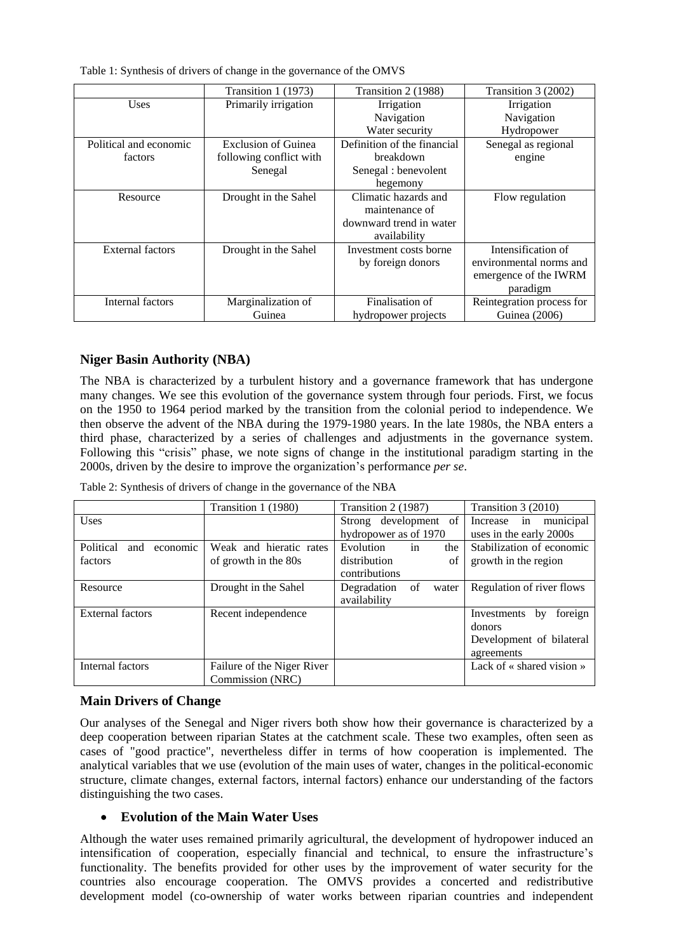Table 1: Synthesis of drivers of change in the governance of the OMVS

|                         | Transition 1 (1973)        | Transition 2 (1988)         | Transition 3 (2002)       |
|-------------------------|----------------------------|-----------------------------|---------------------------|
| <b>Uses</b>             | Primarily irrigation       | Irrigation                  | Irrigation                |
|                         |                            | Navigation                  | Navigation                |
|                         |                            | Water security              | Hydropower                |
| Political and economic  | <b>Exclusion of Guinea</b> | Definition of the financial | Senegal as regional       |
| factors                 | following conflict with    | breakdown                   | engine                    |
|                         | Senegal                    | Senegal : benevolent        |                           |
|                         |                            | hegemony                    |                           |
| Resource                | Drought in the Sahel       | Climatic hazards and        | Flow regulation           |
|                         |                            | maintenance of              |                           |
|                         |                            | downward trend in water     |                           |
|                         |                            | availability                |                           |
| <b>External factors</b> | Drought in the Sahel       | Investment costs borne      | Intensification of        |
|                         |                            | by foreign donors           | environmental norms and   |
|                         |                            |                             | emergence of the IWRM     |
|                         |                            |                             | paradigm                  |
| Internal factors        | Marginalization of         | Finalisation of             | Reintegration process for |
|                         | Guinea                     | hydropower projects         | <b>Guinea</b> (2006)      |

#### **Niger Basin Authority (NBA)**

The NBA is characterized by a turbulent history and a governance framework that has undergone many changes. We see this evolution of the governance system through four periods. First, we focus on the 1950 to 1964 period marked by the transition from the colonial period to independence. We then observe the advent of the NBA during the 1979-1980 years. In the late 1980s, the NBA enters a third phase, characterized by a series of challenges and adjustments in the governance system. Following this "crisis" phase, we note signs of change in the institutional paradigm starting in the 2000s, driven by the desire to improve the organization's performance *per se*.

Table 2: Synthesis of drivers of change in the governance of the NBA

|                              | Transition 1 (1980)        | Transition 2 (1987)        | Transition 3 (2010)          |
|------------------------------|----------------------------|----------------------------|------------------------------|
| <b>Uses</b>                  |                            | Strong development of      | municipal<br>Increase in     |
|                              |                            | hydropower as of 1970      | uses in the early 2000s      |
| Political<br>economic<br>and | Weak and hieratic rates    | in<br>Evolution<br>the     | Stabilization of economic    |
| factors                      | of growth in the 80s       | distribution<br>of         | growth in the region         |
|                              |                            | contributions              |                              |
| Resource                     | Drought in the Sahel       | Degradation<br>of<br>water | Regulation of river flows    |
|                              |                            | availability               |                              |
| <b>External factors</b>      | Recent independence        |                            | foreign<br>Investments<br>by |
|                              |                            |                            | donors                       |
|                              |                            |                            | Development of bilateral     |
|                              |                            |                            | agreements                   |
| Internal factors             | Failure of the Niger River |                            | Lack of « shared vision »    |
|                              | Commission (NRC)           |                            |                              |

#### **Main Drivers of Change**

Our analyses of the Senegal and Niger rivers both show how their governance is characterized by a deep cooperation between riparian States at the catchment scale. These two examples, often seen as cases of "good practice", nevertheless differ in terms of how cooperation is implemented. The analytical variables that we use (evolution of the main uses of water, changes in the political-economic structure, climate changes, external factors, internal factors) enhance our understanding of the factors distinguishing the two cases.

#### **Evolution of the Main Water Uses**

Although the water uses remained primarily agricultural, the development of hydropower induced an intensification of cooperation, especially financial and technical, to ensure the infrastructure's functionality. The benefits provided for other uses by the improvement of water security for the countries also encourage cooperation. The OMVS provides a concerted and redistributive development model (co-ownership of water works between riparian countries and independent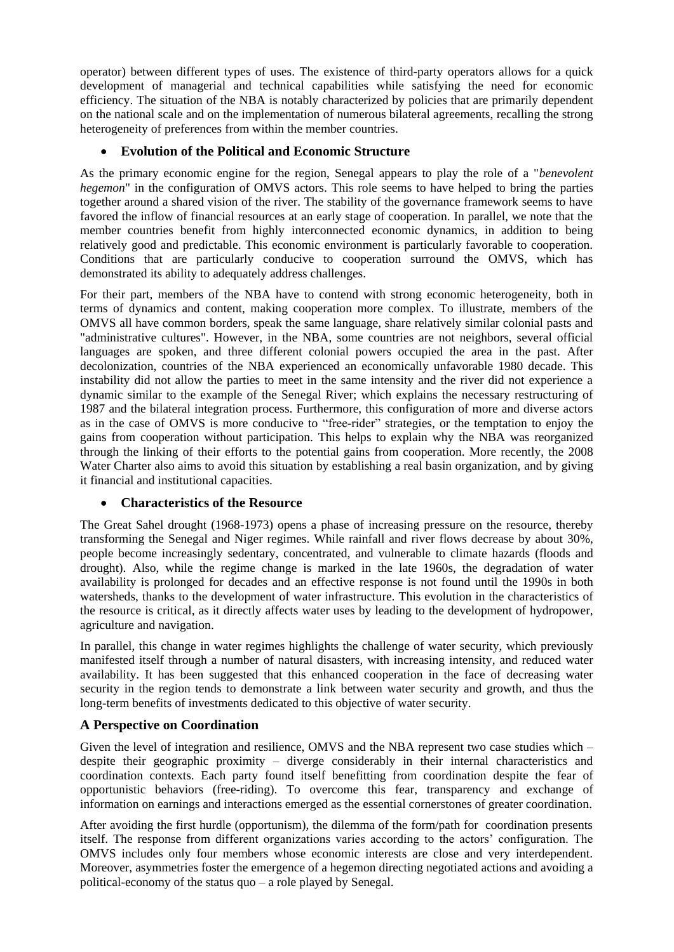operator) between different types of uses. The existence of third-party operators allows for a quick development of managerial and technical capabilities while satisfying the need for economic efficiency. The situation of the NBA is notably characterized by policies that are primarily dependent on the national scale and on the implementation of numerous bilateral agreements, recalling the strong heterogeneity of preferences from within the member countries.

#### **Evolution of the Political and Economic Structure**

As the primary economic engine for the region, Senegal appears to play the role of a "*benevolent hegemon*" in the configuration of OMVS actors. This role seems to have helped to bring the parties together around a shared vision of the river. The stability of the governance framework seems to have favored the inflow of financial resources at an early stage of cooperation. In parallel, we note that the member countries benefit from highly interconnected economic dynamics, in addition to being relatively good and predictable. This economic environment is particularly favorable to cooperation. Conditions that are particularly conducive to cooperation surround the OMVS, which has demonstrated its ability to adequately address challenges.

For their part, members of the NBA have to contend with strong economic heterogeneity, both in terms of dynamics and content, making cooperation more complex. To illustrate, members of the OMVS all have common borders, speak the same language, share relatively similar colonial pasts and "administrative cultures". However, in the NBA, some countries are not neighbors, several official languages are spoken, and three different colonial powers occupied the area in the past. After decolonization, countries of the NBA experienced an economically unfavorable 1980 decade. This instability did not allow the parties to meet in the same intensity and the river did not experience a dynamic similar to the example of the Senegal River; which explains the necessary restructuring of 1987 and the bilateral integration process. Furthermore, this configuration of more and diverse actors as in the case of OMVS is more conducive to "free-rider" strategies, or the temptation to enjoy the gains from cooperation without participation. This helps to explain why the NBA was reorganized through the linking of their efforts to the potential gains from cooperation. More recently, the 2008 Water Charter also aims to avoid this situation by establishing a real basin organization, and by giving it financial and institutional capacities.

#### **Characteristics of the Resource**

The Great Sahel drought (1968-1973) opens a phase of increasing pressure on the resource, thereby transforming the Senegal and Niger regimes. While rainfall and river flows decrease by about 30%, people become increasingly sedentary, concentrated, and vulnerable to climate hazards (floods and drought). Also, while the regime change is marked in the late 1960s, the degradation of water availability is prolonged for decades and an effective response is not found until the 1990s in both watersheds, thanks to the development of water infrastructure. This evolution in the characteristics of the resource is critical, as it directly affects water uses by leading to the development of hydropower, agriculture and navigation.

In parallel, this change in water regimes highlights the challenge of water security, which previously manifested itself through a number of natural disasters, with increasing intensity, and reduced water availability. It has been suggested that this enhanced cooperation in the face of decreasing water security in the region tends to demonstrate a link between water security and growth, and thus the long-term benefits of investments dedicated to this objective of water security.

#### **A Perspective on Coordination**

Given the level of integration and resilience, OMVS and the NBA represent two case studies which – despite their geographic proximity – diverge considerably in their internal characteristics and coordination contexts. Each party found itself benefitting from coordination despite the fear of opportunistic behaviors (free-riding). To overcome this fear, transparency and exchange of information on earnings and interactions emerged as the essential cornerstones of greater coordination.

After avoiding the first hurdle (opportunism), the dilemma of the form/path for coordination presents itself. The response from different organizations varies according to the actors' configuration. The OMVS includes only four members whose economic interests are close and very interdependent. Moreover, asymmetries foster the emergence of a hegemon directing negotiated actions and avoiding a political-economy of the status quo – a role played by Senegal.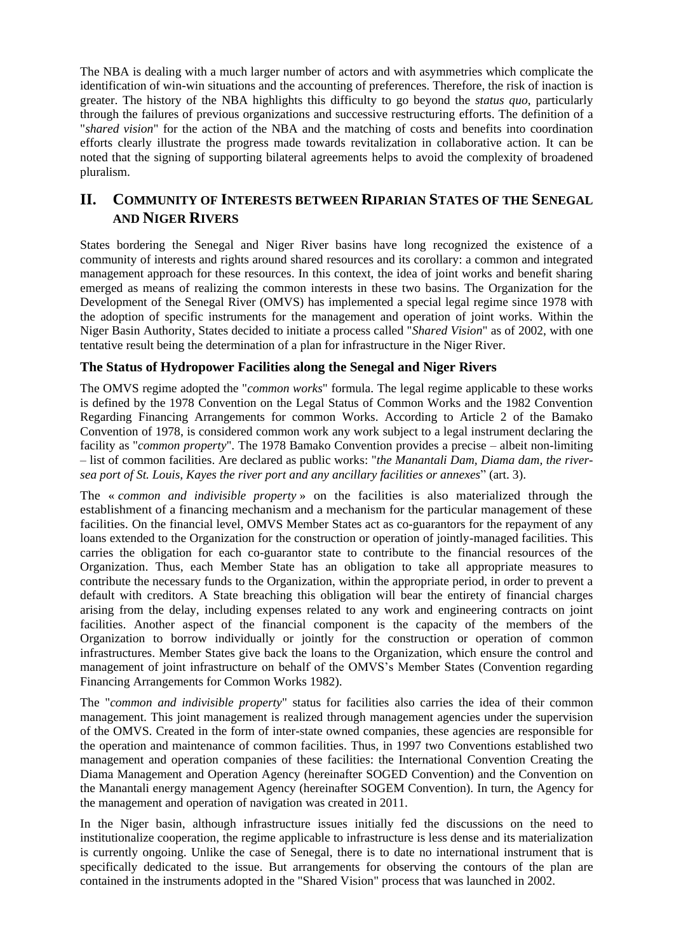The NBA is dealing with a much larger number of actors and with asymmetries which complicate the identification of win-win situations and the accounting of preferences. Therefore, the risk of inaction is greater. The history of the NBA highlights this difficulty to go beyond the *status quo*, particularly through the failures of previous organizations and successive restructuring efforts. The definition of a "*shared vision*" for the action of the NBA and the matching of costs and benefits into coordination efforts clearly illustrate the progress made towards revitalization in collaborative action. It can be noted that the signing of supporting bilateral agreements helps to avoid the complexity of broadened pluralism.

### **II. COMMUNITY OF INTERESTS BETWEEN RIPARIAN STATES OF THE SENEGAL AND NIGER RIVERS**

States bordering the Senegal and Niger River basins have long recognized the existence of a community of interests and rights around shared resources and its corollary: a common and integrated management approach for these resources. In this context, the idea of joint works and benefit sharing emerged as means of realizing the common interests in these two basins. The Organization for the Development of the Senegal River (OMVS) has implemented a special legal regime since 1978 with the adoption of specific instruments for the management and operation of joint works. Within the Niger Basin Authority, States decided to initiate a process called "*Shared Vision*" as of 2002, with one tentative result being the determination of a plan for infrastructure in the Niger River.

#### **The Status of Hydropower Facilities along the Senegal and Niger Rivers**

The OMVS regime adopted the "*common works*" formula. The legal regime applicable to these works is defined by the 1978 Convention on the Legal Status of Common Works and the 1982 Convention Regarding Financing Arrangements for common Works. According to Article 2 of the Bamako Convention of 1978, is considered common work any work subject to a legal instrument declaring the facility as "*common property*". The 1978 Bamako Convention provides a precise – albeit non-limiting – list of common facilities. Are declared as public works: "*the Manantali Dam, Diama dam, the riversea port of St. Louis, Kayes the river port and any ancillary facilities or annexes*" (art. 3).

The « *common and indivisible property* » on the facilities is also materialized through the establishment of a financing mechanism and a mechanism for the particular management of these facilities. On the financial level, OMVS Member States act as co-guarantors for the repayment of any loans extended to the Organization for the construction or operation of jointly-managed facilities. This carries the obligation for each co-guarantor state to contribute to the financial resources of the Organization. Thus, each Member State has an obligation to take all appropriate measures to contribute the necessary funds to the Organization, within the appropriate period, in order to prevent a default with creditors. A State breaching this obligation will bear the entirety of financial charges arising from the delay, including expenses related to any work and engineering contracts on joint facilities. Another aspect of the financial component is the capacity of the members of the Organization to borrow individually or jointly for the construction or operation of common infrastructures. Member States give back the loans to the Organization, which ensure the control and management of joint infrastructure on behalf of the OMVS's Member States (Convention regarding Financing Arrangements for Common Works 1982).

The "*common and indivisible property*" status for facilities also carries the idea of their common management. This joint management is realized through management agencies under the supervision of the OMVS. Created in the form of inter-state owned companies, these agencies are responsible for the operation and maintenance of common facilities. Thus, in 1997 two Conventions established two management and operation companies of these facilities: the International Convention Creating the Diama Management and Operation Agency (hereinafter SOGED Convention) and the Convention on the Manantali energy management Agency (hereinafter SOGEM Convention). In turn, the Agency for the management and operation of navigation was created in 2011.

In the Niger basin, although infrastructure issues initially fed the discussions on the need to institutionalize cooperation, the regime applicable to infrastructure is less dense and its materialization is currently ongoing. Unlike the case of Senegal, there is to date no international instrument that is specifically dedicated to the issue. But arrangements for observing the contours of the plan are contained in the instruments adopted in the "Shared Vision" process that was launched in 2002.